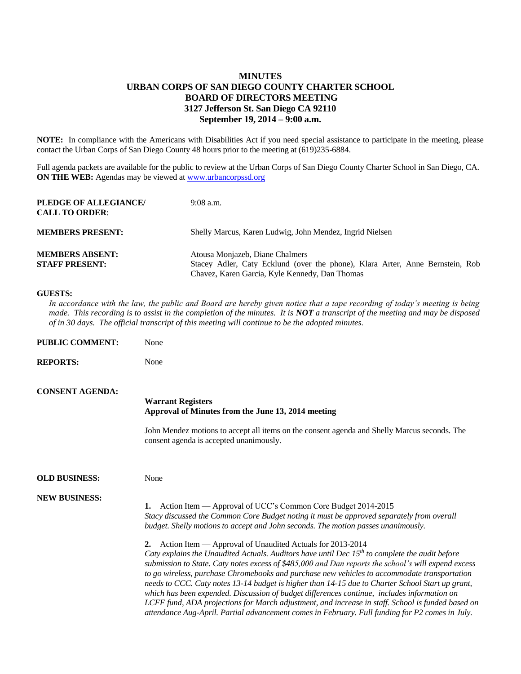## **MINUTES URBAN CORPS OF SAN DIEGO COUNTY CHARTER SCHOOL BOARD OF DIRECTORS MEETING 3127 Jefferson St. San Diego CA 92110 September 19, 2014 – 9:00 a.m.**

**NOTE:** In compliance with the Americans with Disabilities Act if you need special assistance to participate in the meeting, please contact the Urban Corps of San Diego County 48 hours prior to the meeting at (619)235-6884.

Full agenda packets are available for the public to review at the Urban Corps of San Diego County Charter School in San Diego, CA. **ON THE WEB:** Agendas may be viewed at **www.urbancorpssd.org** 

| PLEDGE OF ALLEGIANCE/<br><b>CALL TO ORDER:</b>  | $9:08$ a.m.                                                                                                                                                        |
|-------------------------------------------------|--------------------------------------------------------------------------------------------------------------------------------------------------------------------|
| <b>MEMBERS PRESENT:</b>                         | Shelly Marcus, Karen Ludwig, John Mendez, Ingrid Nielsen                                                                                                           |
| <b>MEMBERS ABSENT:</b><br><b>STAFF PRESENT:</b> | Atousa Monjazeb, Diane Chalmers<br>Stacey Adler, Caty Ecklund (over the phone), Klara Arter, Anne Bernstein, Rob<br>Chavez, Karen Garcia, Kyle Kennedy, Dan Thomas |

## **GUESTS:**

**PUBLIC COMMENTS:** No. 31

*In accordance with the law, the public and Board are hereby given notice that a tape recording of today's meeting is being made. This recording is to assist in the completion of the minutes. It is NOT a transcript of the meeting and may be disposed of in 30 days. The official transcript of this meeting will continue to be the adopted minutes.*

| PUDLIU UUMINIENT;      | <b>NOILE</b>                                                                                                                                                                                                                                                                                                                                                                                                                                                                                                                                                                                                                                                                                                                                                                             |
|------------------------|------------------------------------------------------------------------------------------------------------------------------------------------------------------------------------------------------------------------------------------------------------------------------------------------------------------------------------------------------------------------------------------------------------------------------------------------------------------------------------------------------------------------------------------------------------------------------------------------------------------------------------------------------------------------------------------------------------------------------------------------------------------------------------------|
| <b>REPORTS:</b>        | None                                                                                                                                                                                                                                                                                                                                                                                                                                                                                                                                                                                                                                                                                                                                                                                     |
| <b>CONSENT AGENDA:</b> | <b>Warrant Registers</b><br>Approval of Minutes from the June 13, 2014 meeting                                                                                                                                                                                                                                                                                                                                                                                                                                                                                                                                                                                                                                                                                                           |
|                        | John Mendez motions to accept all items on the consent agenda and Shelly Marcus seconds. The<br>consent agenda is accepted unanimously.                                                                                                                                                                                                                                                                                                                                                                                                                                                                                                                                                                                                                                                  |
| <b>OLD BUSINESS:</b>   | None                                                                                                                                                                                                                                                                                                                                                                                                                                                                                                                                                                                                                                                                                                                                                                                     |
| <b>NEW BUSINESS:</b>   | Action Item — Approval of UCC's Common Core Budget 2014-2015<br>1.<br>Stacy discussed the Common Core Budget noting it must be approved separately from overall<br>budget. Shelly motions to accept and John seconds. The motion passes unanimously.                                                                                                                                                                                                                                                                                                                                                                                                                                                                                                                                     |
|                        | Action Item — Approval of Unaudited Actuals for 2013-2014<br>2.<br>Caty explains the Unaudited Actuals. Auditors have until Dec $15^{th}$ to complete the audit before<br>submission to State. Caty notes excess of \$485,000 and Dan reports the school's will expend excess<br>to go wireless, purchase Chromebooks and purchase new vehicles to accommodate transportation<br>needs to CCC. Caty notes 13-14 budget is higher than 14-15 due to Charter School Start up grant,<br>which has been expended. Discussion of budget differences continue, includes information on<br>LCFF fund, ADA projections for March adjustment, and increase in staff. School is funded based on<br>attendance Aug-April. Partial advancement comes in February. Full funding for P2 comes in July. |